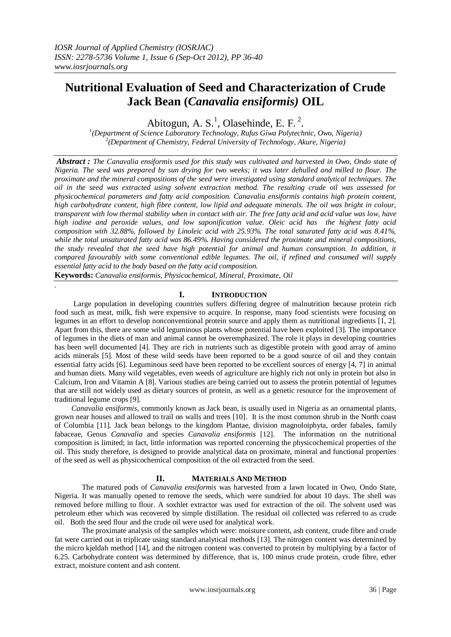# **Nutritional Evaluation of Seed and Characterization of Crude Jack Bean (***Canavalia ensiformis)* **OIL**

Abitogun, A. S.<sup>1</sup>, Olasehinde, E. F.<sup>2</sup>.

*1 (Department of Science Laboratory Technology, Rufus Giwa Polytechnic, Owo, Nigeria) 2 (Department of Chemistry, Federal University of Technology, Akure, Nigeria)*

*Abstract : The Canavalia ensiformis used for this study was cultivated and harvested in Owo, Ondo state of Nigeria. The seed was prepared by sun drying for two weeks; it was later dehulled and milled to flour. The proximate and the mineral compositions of the seed were investigated using standard analytical techniques. The oil in the seed was extracted using solvent extraction method. The resulting crude oil was assessed for physicochemical parameters and fatty acid composition. Canavalia ensiformis contains high protein content, high carbohydrate content, high fibre content, low lipid and adequate minerals. The oil was bright in colour, transparent with low thermal stability when in contact with air. The free fatty acid and acid value was low, have high iodine and peroxide values, and low saponification value. Oleic acid has the highest fatty acid composition with 32.88%, followed by Linoleic acid with 25.93%. The total saturated fatty acid was 8.41%, while the total unsaturated fatty acid was 86.49%. Having considered the proximate and mineral compositions, the study revealed that the seed have high potential for animal and human consumption. In addition, it compared favourably with some conventional edible legumes. The oil, if refined and consumed will supply essential fatty acid to the body based on the fatty acid composition.*

**Keywords:** *Canavalia ensiformis, Physicochemical, Mineral, Proximate, Oil*

*.*

# **I. INTRODUCTION**

 Large population in developing countries suffers differing degree of malnutrition because protein rich food such as meat, milk, fish were expensive to acquire. In response, many food scientists were focusing on legumes in an effort to develop nonconventional protein source and apply them as nutritional ingredients [1, 2]. Apart from this, there are some wild leguminous plants whose potential have been exploited [3]. The importance of legumes in the diets of man and animal cannot be overemphasized. The role it plays in developing countries has been well documented [4]. They are rich in nutrients such as digestible protein with good array of amino acids minerals [5]. Most of these wild seeds have been reported to be a good source of oil and they contain essential fatty acids [6]. Leguminous seed have been reported to be excellent sources of energy [4, 7] in animal and human diets. Many wild vegetables, even weeds of agriculture are highly rich not only in protein but also in Calcium, Iron and Vitamin A [8]. Various studies are being carried out to assess the protein potential of legumes that are still not widely used as dietary sources of protein, as well as a genetic resource for the improvement of traditional legume crops [9].

 *Canavalia ensiformis*, commonly known as Jack bean, is usually used in Nigeria as an ornamental plants, grown near houses and allowed to trail on walls and trees [10]. It is the most common shrub in the North coast of Columbia [11]. Jack bean belongs to the kingdom Plantae, division magnoloiphyta, order fabales, family fabaceae, Genus *Canavalia* and species *Canavalia ensiformis* [12]. The information on the nutritional composition is limited; in fact, little information was reported concerning the physicochemical properties of the oil. This study therefore, is designed to provide analytical data on proximate, mineral and functional properties of the seed as well as physicochemical composition of the oil extracted from the seed.

# **II. MATERIALS AND METHOD**

The matured pods of *Canavalia ensiformis* was harvested from a lawn located in Owo, Ondo State, Nigeria. It was manually opened to remove the seeds, which were sundried for about 10 days. The shell was removed before milling to flour. A soxhlet extractor was used for extraction of the oil. The solvent used was petroleum ether which was recovered by simple distillation. The residual oil collected was referred to as crude oil. Both the seed flour and the crude oil were used for analytical work.

The proximate analysis of the samples which were: moisture content, ash content, crude fibre and crude fat were carried out in triplicate using standard analytical methods [13]. The nitrogen content was determined by the micro kjeldah method [14], and the nitrogen content was converted to protein by multiplying by a factor of 6.25. Carbohydrate content was determined by difference, that is, 100 minus crude protein, crude fibre, ether extract, moisture content and ash content.

www.iosrjournals.org 36 | Page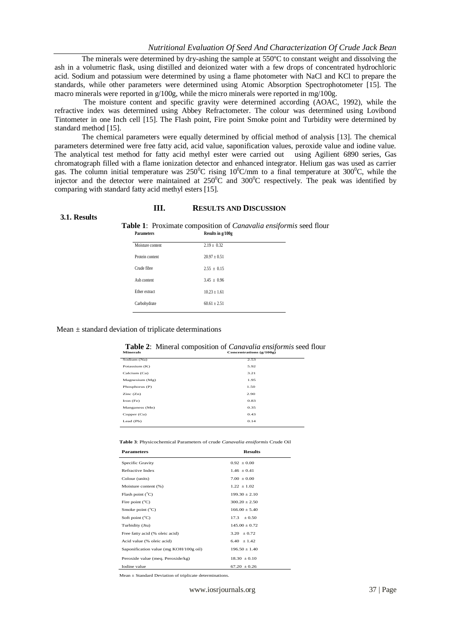The minerals were determined by dry-ashing the sample at 550ºC to constant weight and dissolving the ash in a volumetric flask, using distilled and deionized water with a few drops of concentrated hydrochloric acid. Sodium and potassium were determined by using a flame photometer with NaCl and KCl to prepare the standards, while other parameters were determined using Atomic Absorption Spectrophotometer [15]. The macro minerals were reported in g/100g, while the micro minerals were reported in mg/100g.

The moisture content and specific gravity were determined according (AOAC, 1992), while the refractive index was determined using Abbey Refractometer. The colour was determined using Lovibond Tintometer in one Inch cell [15]. The Flash point, Fire point Smoke point and Turbidity were determined by standard method [15].

The chemical parameters were equally determined by official method of analysis [13]. The chemical parameters determined were free fatty acid, acid value, saponification values, peroxide value and iodine value. The analytical test method for fatty acid methyl ester were carried out using Agilient 6890 series, Gas chromatograph filled with a flame ionization detector and enhanced integrator. Helium gas was used as carrier gas. The column initial temperature was 250<sup>o</sup>C rising  $10^{9}$ C/mm to a final temperature at 300<sup>o</sup>C, while the injector and the detector were maintained at  $250^{\circ}$ C and  $300^{\circ}$ C respectively. The peak was identified by comparing with standard fatty acid methyl esters [15].

## **III. RESULTS AND DISCUSSION**

#### **3.1. Results**

|                   | Table 1: Proximate composition of Canavalia ensiformis seed flour |
|-------------------|-------------------------------------------------------------------|
| <b>Parameters</b> | Results in g/100g                                                 |

| Protein content<br>$20.97 + 0.51$ |  |
|-----------------------------------|--|
| Crude fibre<br>$2.55 \pm 0.15$    |  |
| Ash content<br>$3.45 \pm 0.96$    |  |
| Ether extract<br>$10.23 + 1.61$   |  |
| Carbohydrate<br>$60.61 \pm 2.51$  |  |

## Mean  $\pm$  standard deviation of triplicate determinations

|                 | <b>Table 2:</b> Mineral composition of <i>Canavalia ensiformis</i> seed flour |                           |  |
|-----------------|-------------------------------------------------------------------------------|---------------------------|--|
| <b>Minerals</b> |                                                                               | Concentrations $(g/100g)$ |  |

| <b>Minerals</b>  | Concentrations (g/100g) |  |  |
|------------------|-------------------------|--|--|
| Sodium (Na)      | 2.53                    |  |  |
| Potassium (K)    | 5.92                    |  |  |
| Calcium (Ca)     | 3.21                    |  |  |
| Magnesium $(Mg)$ | 1.95                    |  |  |
| Phosphorus (P)   | 1.50                    |  |  |
| Zinc(Zn)         | 2.90                    |  |  |
| Iron $(Fe)$      | 0.83                    |  |  |
| Manganess (Mn)   | 0.35                    |  |  |
| Copper (Cu)      | 0.43                    |  |  |
| Lead (Pb)        | 0.14                    |  |  |
|                  |                         |  |  |

**Table 3**: Physicochemical Parameters of crude *Canavalia ensiformis* Crude Oil

| <b>Parameters</b>                      | <b>Results</b>    |
|----------------------------------------|-------------------|
| Specific Gravity                       | $0.92 \pm 0.00$   |
| Refractive Index                       | $1.46 \pm 0.41$   |
| Colour (units)                         | $7.00 \pm 0.00$   |
| Moisture content (%)                   | $1.22 + 1.02$     |
| Flash point $(^{\circ}C)$              | $199.30 \pm 2.10$ |
| Fire point $(^{\circ}C)$               | $300.20 \pm 2.50$ |
| Smoke point $(^{\circ}C)$              | $166.00 \pm 5.40$ |
| Soft point $(^{\circ}C)$               | $17.3 \pm 0.50$   |
| Turbidity (Jtu)                        | $145.00 + 0.72$   |
| Free fatty acid (% oleic acid)         | $3.20 \pm 0.72$   |
| Acid value (% oleic acid)              | $6.40 \pm 1.42$   |
| Saponification value (mg KOH/100g oil) | $196.50 \pm 1.40$ |
| Peroxide value (meg. Peroxide/kg)      | $18.30 \pm 0.10$  |
| Iodine value                           | $67.20 \pm 0.26$  |

Mean ± Standard Deviation of triplicate determinations.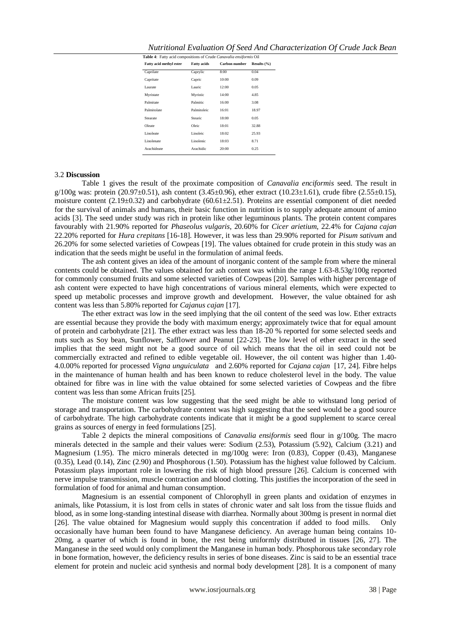| Nutritional Evaluation Of Seed And Characterization Of Crude Jack Bean |  |  |  |  |
|------------------------------------------------------------------------|--|--|--|--|
|------------------------------------------------------------------------|--|--|--|--|

| Table 4: Fatty acid compositions of Crude Canavalia ensiformis Oil |                    |               |                 |  |
|--------------------------------------------------------------------|--------------------|---------------|-----------------|--|
| Fatty acid methyl ester                                            | <b>Fatty acids</b> | Carbon number | Results $(\% )$ |  |
| Caprilate                                                          | Caprylic           | 8:00          | 0.04            |  |
| Capritate                                                          | Capric             | 10:00         | 0.09            |  |
| Laurate                                                            | Lauric             | 12:00         | 0.05            |  |
| Myristate                                                          | Myristic           | 14:00         | 4.85            |  |
| Palmitate                                                          | Palmitic           | 16:00         | 3.08            |  |
| Palmitolate                                                        | Palmitoleic        | 16:01         | 18.97           |  |
| Stearate                                                           | Stearic            | 18:00         | 0.05            |  |
| Oleate                                                             | Oleic              | 18:01         | 32.88           |  |
| Linoleate                                                          | Linoleic           | 18:02         | 25.93           |  |
| Linolenate                                                         | Linolenic          | 18:03         | 8.71            |  |
| Arachideate                                                        | Arachidic          | 20:00         | 0.25            |  |
|                                                                    |                    |               |                 |  |

## 3.2 **Discussion**

Table 1 gives the result of the proximate composition of *Canavalia enciformis* seed. The result in  $g/100g$  was: protein (20.97±0.51), ash content (3.45±0.96), ether extract (10.23±1.61), crude fibre (2.55±0.15), moisture content (2.19 $\pm$ 0.32) and carbohydrate (60.61 $\pm$ 2.51). Proteins are essential component of diet needed for the survival of animals and humans, their basic function in nutrition is to supply adequate amount of amino acids [3]. The seed under study was rich in protein like other leguminous plants. The protein content compares favourably with 21.90% reported for *Phaseolus vulgaris*, 20.60% for *Cicer arietium*, 22.4% for *Cajana cajan* 22.20% reported for *Hura crepitans* [16-18]. However, it was less than 29.90% reported for *Pisum sativum* and 26.20% for some selected varieties of Cowpeas [19]. The values obtained for crude protein in this study was an indication that the seeds might be useful in the formulation of animal feeds.

The ash content gives an idea of the amount of inorganic content of the sample from where the mineral contents could be obtained. The values obtained for ash content was within the range 1.63-8.53g/100g reported for commonly consumed fruits and some selected varieties of Cowpeas [20]. Samples with higher percentage of ash content were expected to have high concentrations of various mineral elements, which were expected to speed up metabolic processes and improve growth and development. However, the value obtained for ash content was less than 5.80% reported for *Cajanus cajan* [17].

The ether extract was low in the seed implying that the oil content of the seed was low. Ether extracts are essential because they provide the body with maximum energy; approximately twice that for equal amount of protein and carbohydrate [21]. The ether extract was less than 18-20 % reported for some selected seeds and nuts such as Soy bean, Sunflower, Safflower and Peanut [22-23]. The low level of ether extract in the seed implies that the seed might not be a good source of oil which means that the oil in seed could not be commercially extracted and refined to edible vegetable oil. However, the oil content was higher than 1.40- 4.0.00% reported for processed *Vigna unguiculata* and 2.60% reported for *Cajana cajan* [17, 24]. Fibre helps in the maintenance of human health and has been known to reduce cholesterol level in the body. The value obtained for fibre was in line with the value obtained for some selected varieties of Cowpeas and the fibre content was less than some African fruits [25].

The moisture content was low suggesting that the seed might be able to withstand long period of storage and transportation. The carbohydrate content was high suggesting that the seed would be a good source of carbohydrate. The high carbohydrate contents indicate that it might be a good supplement to scarce cereal grains as sources of energy in feed formulations [25].

Table 2 depicts the mineral compositions of *Canavalia ensiformis* seed flour in g/100g. The macro minerals detected in the sample and their values were: Sodium (2.53), Potassium (5.92), Calcium (3.21) and Magnesium (1.95). The micro minerals detected in mg/100g were: Iron (0.83), Copper (0.43), Manganese (0.35), Lead (0.14), Zinc (2.90) and Phosphorous (1.50). Potassium has the highest value followed by Calcium. Potassium plays important role in lowering the risk of high blood pressure [26]. Calcium is concerned with nerve impulse transmission, muscle contraction and blood clotting. This justifies the incorporation of the seed in formulation of food for animal and human consumption.

Magnesium is an essential component of Chlorophyll in green plants and oxidation of enzymes in animals, like Potassium, it is lost from cells in states of chronic water and salt loss from the tissue fluids and blood, as in some long-standing intestinal disease with diarrhea. Normally about 300mg is present in normal diet [26]. The value obtained for Magnesium would supply this concentration if added to food mills. Only occasionally have human been found to have Manganese deficiency. An average human being contains 10- 20mg, a quarter of which is found in bone, the rest being uniformly distributed in tissues [26, 27]. The Manganese in the seed would only compliment the Manganese in human body. Phosphorous take secondary role in bone formation, however, the deficiency results in series of bone diseases. Zinc is said to be an essential trace element for protein and nucleic acid synthesis and normal body development [28]. It is a component of many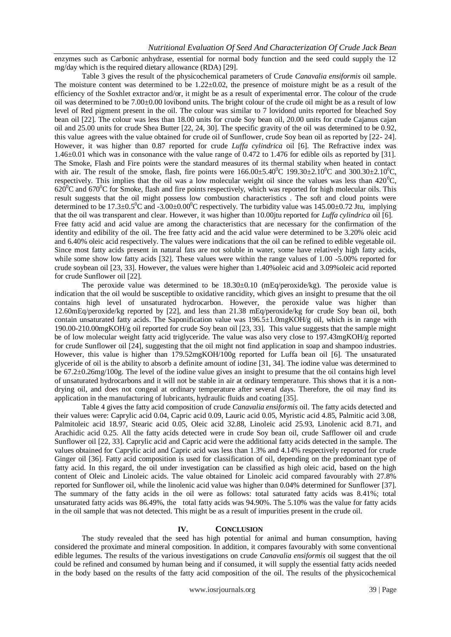enzymes such as Carbonic anhydrase, essential for normal body function and the seed could supply the 12 mg/day which is the required dietary allowance (RDA) [29].

Table 3 gives the result of the physicochemical parameters of Crude *Canavalia ensiformis* oil sample. The moisture content was determined to be 1.22±0.02, the presence of moisture might be as a result of the efficiency of the Soxhlet extractor and/or, it might be as a result of experimental error. The colour of the crude oil was determined to be 7.00±0.00 lovibond units. The bright colour of the crude oil might be as a result of low level of Red pigment present in the oil. The colour was similar to 7 lovidond units reported for bleached Soy bean oil [22]. The colour was less than 18.00 units for crude Soy bean oil, 20.00 units for crude Cajanus cajan oil and 25.00 units for crude Shea Butter [22, 24, 30]. The specific gravity of the oil was determined to be 0.92, this value agrees with the value obtained for crude oil of Sunflower, crude Soy bean oil as reported by [22- 24]. However, it was higher than 0.87 reported for crude *Luffa cylindrica* oil [6]. The Refractive index was 1.46±0.01 which was in consonance with the value range of 0.472 to 1.476 for edible oils as reported by [31]. The Smoke, Flash and Fire points were the standard measures of its thermal stability when heated in contact with air. The result of the smoke, flash, fire points were  $166.00\pm5.40^{\circ}\text{C}$  199.30 $\pm2.10^{\circ}\text{C}$  and 300.30 $\pm2.10^{\circ}\text{C}$ . respectively. This implies that the oil was a low molecular weight oil since the values was less than  $420^{\circ}$ C,  $620^{\circ}$ C and  $670^{\circ}$ C for Smoke, flash and fire points respectively, which was reported for high molecular oils. This result suggests that the oil might possess low combustion characteristics . The soft and cloud points were determined to be 17.3±0.5<sup>0</sup>C and -3.00±0.00<sup>0</sup>C respectively. The turbidity value was 145.00±0.72 Jtu, implying that the oil was transparent and clear. However, it was higher than 10.00jtu reported for *Luffa cylindrica* oil [6]. Free fatty acid and acid value are among the characteristics that are necessary for the confirmation of the identity and edibility of the oil. The free fatty acid and the acid value were determined to be 3.20% oleic acid and 6.40% oleic acid respectively. The values were indications that the oil can be refined to edible vegetable oil. Since most fatty acids present in natural fats are not soluble in water, some have relatively high fatty acids, while some show low fatty acids [32]. These values were within the range values of 1.00 -5.00% reported for crude soybean oil [23, 33]. However, the values were higher than 1.40%oleic acid and 3.09%oleic acid reported for crude Sunflower oil [22].

The peroxide value was determined to be  $18.30\pm0.10$  (mEq/peroxide/kg). The peroxide value is indication that the oil would be susceptible to oxidative rancidity, which gives an insight to presume that the oil contains high level of unsaturated hydrocarbon. However, the peroxide value was higher than 12.60mEq/peroxide/kg reported by [22], and less than 21.38 mEq/peroxide/kg for crude Soy bean oil, both contain unsaturated fatty acids. The Saponification value was  $196.5\pm1.0$ mgKOH/g oil, which is in range with 190.00-210.00mgKOH/g oil reported for crude Soy bean oil [23, 33]. This value suggests that the sample might be of low molecular weight fatty acid triglyceride. The value was also very close to 197.43mgKOH/g reported for crude Sunflower oil [24], suggesting that the oil might not find application in soap and shampoo industries. However, this value is higher than 179.52mgKOH/100g reported for Luffa bean oil [6]. The unsaturated glyceride of oil is the ability to absorb a definite amount of iodine [31, 34]. The iodine value was determined to be 67.2±0.26mg/100g. The level of the iodine value gives an insight to presume that the oil contains high level of unsaturated hydrocarbons and it will not be stable in air at ordinary temperature. This shows that it is a nondrying oil, and does not congeal at ordinary temperature after several days. Therefore, the oil may find its application in the manufacturing of lubricants, hydraulic fluids and coating [35].

Table 4 gives the fatty acid composition of crude *Canavalia ensiformis* oil. The fatty acids detected and their values were: Caprylic acid 0.04, Capric acid 0.09, Lauric acid 0.05, Myristic acid 4.85, Palmitic acid 3.08, Palmitoleic acid 18.97, Stearic acid 0.05, Oleic acid 32.88, Linoleic acid 25.93, Linolenic acid 8.71, and Arachidic acid 0.25. All the fatty acids detected were in crude Soy bean oil, crude Safflower oil and crude Sunflower oil [22, 33]. Caprylic acid and Capric acid were the additional fatty acids detected in the sample. The values obtained for Caprylic acid and Capric acid was less than 1.3% and 4.14% respectively reported for crude Ginger oil [36]. Fatty acid composition is used for classification of oil, depending on the predominant type of fatty acid. In this regard, the oil under investigation can be classified as high oleic acid, based on the high content of Oleic and Linoleic acids. The value obtained for Linoleic acid compared favourably with 27.8% reported for Sunflower oil, while the linolenic acid value was higher than 0.04% determined for Sunflower [37]. The summary of the fatty acids in the oil were as follows: total saturated fatty acids was 8.41%; total unsaturated fatty acids was 86.49%, the total fatty acids was 94.90%. The 5.10% was the value for fatty acids in the oil sample that was not detected. This might be as a result of impurities present in the crude oil.

## **IV. CONCLUSION**

The study revealed that the seed has high potential for animal and human consumption, having considered the proximate and mineral composition. In addition, it compares favourably with some conventional edible legumes. The results of the various investigations on crude *Canavalia ensiformis* oil suggest that the oil could be refined and consumed by human being and if consumed, it will supply the essential fatty acids needed in the body based on the results of the fatty acid composition of the oil. The results of the physicochemical